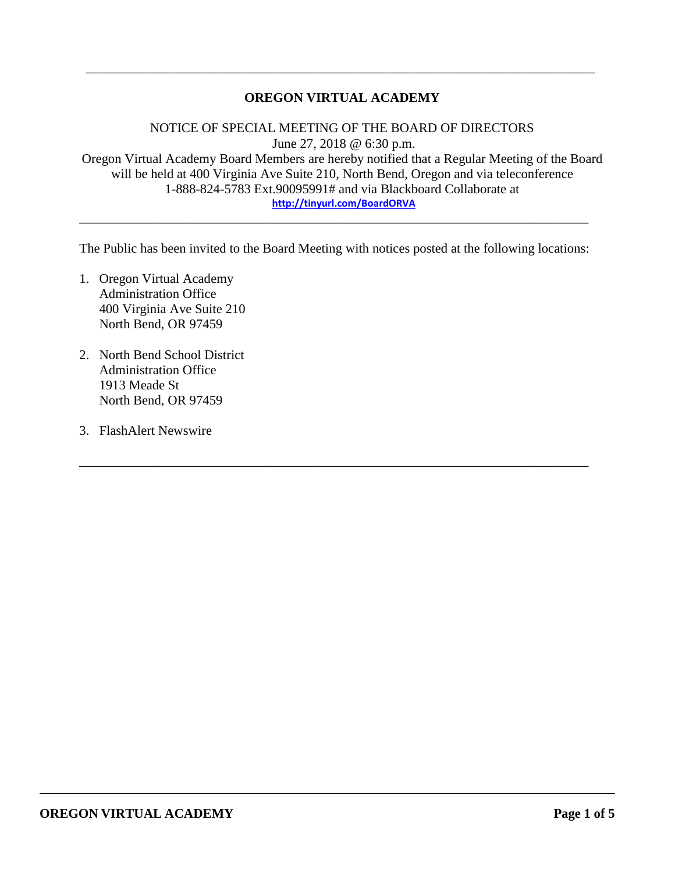## **OREGON VIRTUAL ACADEMY**

\_\_\_\_\_\_\_\_\_\_\_\_\_\_\_\_\_\_\_\_\_\_\_\_\_\_\_\_\_\_\_\_\_\_\_\_\_\_\_\_\_\_\_\_\_\_\_\_\_\_\_\_\_\_\_\_\_\_\_\_\_\_\_\_\_\_\_\_\_\_\_\_\_\_\_\_\_

NOTICE OF SPECIAL MEETING OF THE BOARD OF DIRECTORS June 27, 2018 @ 6:30 p.m. Oregon Virtual Academy Board Members are hereby notified that a Regular Meeting of the Board will be held at 400 Virginia Ave Suite 210, North Bend, Oregon and via teleconference 1-888-824-5783 Ext.90095991# and via Blackboard Collaborate at **<http://tinyurl.com/BoardORVA>**

The Public has been invited to the Board Meeting with notices posted at the following locations:

\_\_\_\_\_\_\_\_\_\_\_\_\_\_\_\_\_\_\_\_\_\_\_\_\_\_\_\_\_\_\_\_\_\_\_\_\_\_\_\_\_\_\_\_\_\_\_\_\_\_\_\_\_\_\_\_\_\_\_\_\_\_\_\_\_\_\_\_\_\_\_\_\_\_\_\_\_

\_\_\_\_\_\_\_\_\_\_\_\_\_\_\_\_\_\_\_\_\_\_\_\_\_\_\_\_\_\_\_\_\_\_\_\_\_\_\_\_\_\_\_\_\_\_\_\_\_\_\_\_\_\_\_\_\_\_\_\_\_\_\_\_\_\_\_\_\_\_\_\_\_\_\_\_\_

- 1. Oregon Virtual Academy Administration Office 400 Virginia Ave Suite 210 North Bend, OR 97459
- 2. North Bend School District Administration Office 1913 Meade St North Bend, OR 97459
- 3. FlashAlert Newswire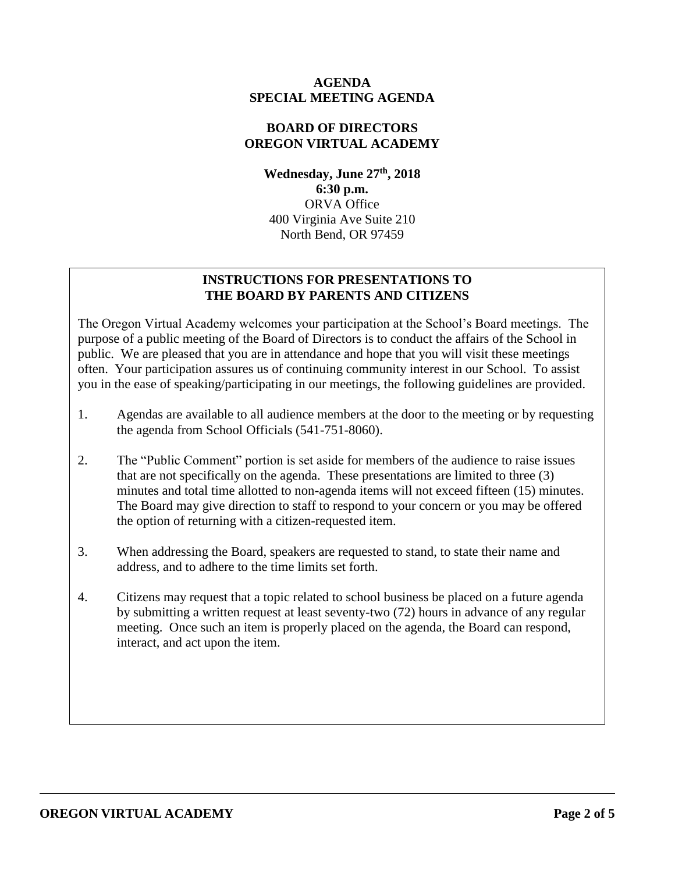### **AGENDA SPECIAL MEETING AGENDA**

### **BOARD OF DIRECTORS OREGON VIRTUAL ACADEMY**

**Wednesday, June 27th , 2018 6:30 p.m.** ORVA Office 400 Virginia Ave Suite 210 North Bend, OR 97459

## **INSTRUCTIONS FOR PRESENTATIONS TO THE BOARD BY PARENTS AND CITIZENS**

The Oregon Virtual Academy welcomes your participation at the School's Board meetings. The purpose of a public meeting of the Board of Directors is to conduct the affairs of the School in public. We are pleased that you are in attendance and hope that you will visit these meetings often. Your participation assures us of continuing community interest in our School. To assist you in the ease of speaking/participating in our meetings, the following guidelines are provided.

- 1. Agendas are available to all audience members at the door to the meeting or by requesting the agenda from School Officials (541-751-8060).
- 2. The "Public Comment" portion is set aside for members of the audience to raise issues that are not specifically on the agenda. These presentations are limited to three (3) minutes and total time allotted to non-agenda items will not exceed fifteen (15) minutes. The Board may give direction to staff to respond to your concern or you may be offered the option of returning with a citizen-requested item.
- 3. When addressing the Board, speakers are requested to stand, to state their name and address, and to adhere to the time limits set forth.
- 4. Citizens may request that a topic related to school business be placed on a future agenda by submitting a written request at least seventy-two (72) hours in advance of any regular meeting. Once such an item is properly placed on the agenda, the Board can respond, interact, and act upon the item.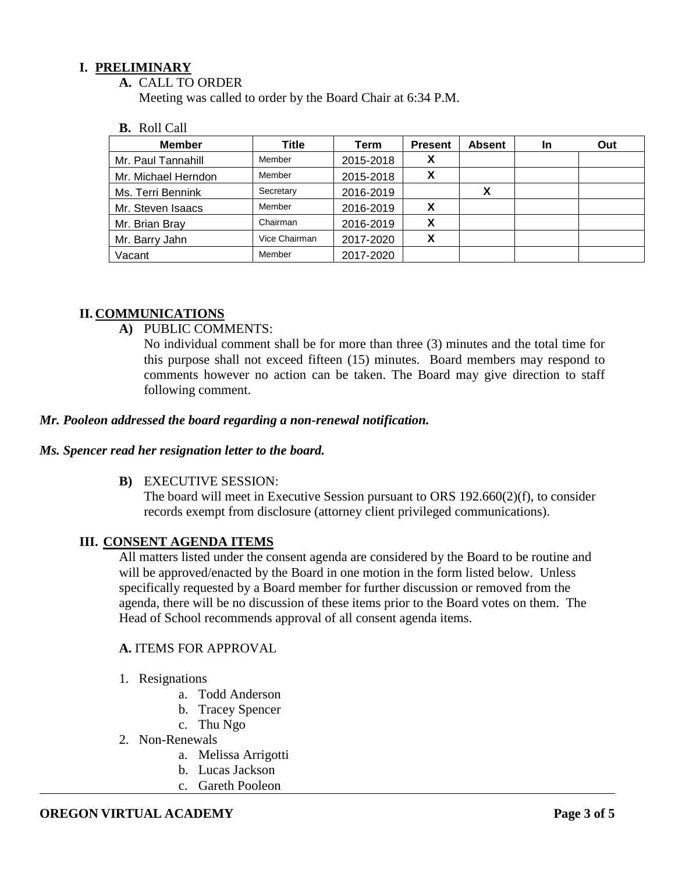## **I. PRELIMINARY**

**A.** CALL TO ORDER

Meeting was called to order by the Board Chair at 6:34 P.M.

#### **B.** Roll Call

| <b>Member</b>       | Title         | Term      | <b>Present</b> | <b>Absent</b> | <b>In</b> | Out |
|---------------------|---------------|-----------|----------------|---------------|-----------|-----|
| Mr. Paul Tannahill  | Member        | 2015-2018 |                |               |           |     |
| Mr. Michael Herndon | Member        | 2015-2018 | X              |               |           |     |
| Ms. Terri Bennink   | Secretary     | 2016-2019 |                |               |           |     |
| Mr. Steven Isaacs   | Member        | 2016-2019 |                |               |           |     |
| Mr. Brian Bray      | Chairman      | 2016-2019 | X              |               |           |     |
| Mr. Barry Jahn      | Vice Chairman | 2017-2020 | v              |               |           |     |
| Vacant              | Member        | 2017-2020 |                |               |           |     |

### **II. COMMUNICATIONS**

**A)** PUBLIC COMMENTS:

No individual comment shall be for more than three (3) minutes and the total time for this purpose shall not exceed fifteen (15) minutes. Board members may respond to comments however no action can be taken. The Board may give direction to staff following comment.

#### *Mr. Pooleon addressed the board regarding a non-renewal notification.*

#### *Ms. Spencer read her resignation letter to the board.*

**B)** EXECUTIVE SESSION:

The board will meet in Executive Session pursuant to ORS 192.660(2)(f), to consider records exempt from disclosure (attorney client privileged communications).

#### **III. CONSENT AGENDA ITEMS**

All matters listed under the consent agenda are considered by the Board to be routine and will be approved/enacted by the Board in one motion in the form listed below. Unless specifically requested by a Board member for further discussion or removed from the agenda, there will be no discussion of these items prior to the Board votes on them. The Head of School recommends approval of all consent agenda items.

#### **A.** ITEMS FOR APPROVAL

- 1. Resignations
	- a. Todd Anderson
	- b. Tracey Spencer
	- c. Thu Ngo
- 2. Non-Renewals
	- a. Melissa Arrigotti
	- b. Lucas Jackson
	- c. Gareth Pooleon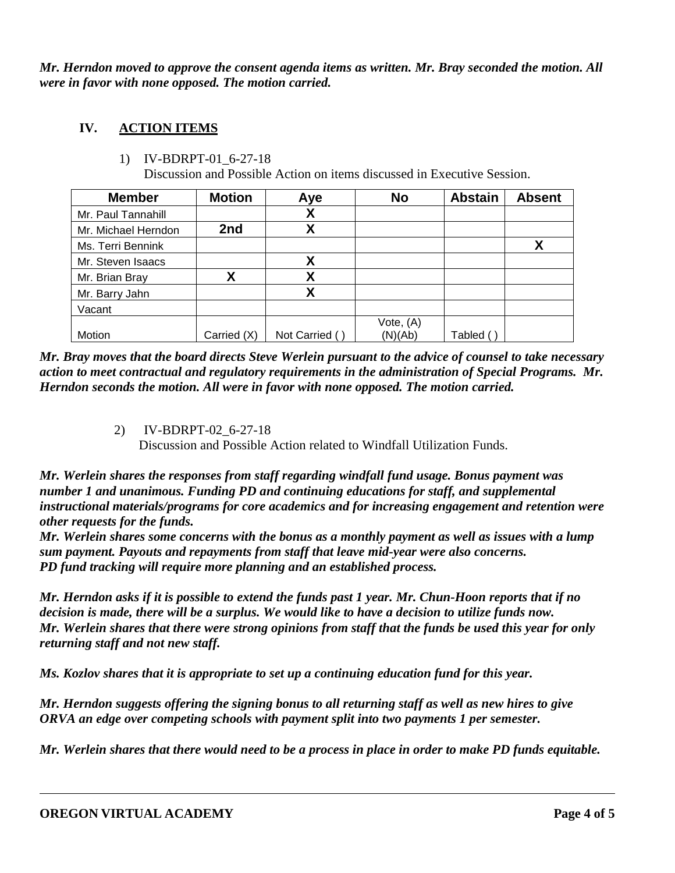*Mr. Herndon moved to approve the consent agenda items as written. Mr. Bray seconded the motion. All were in favor with none opposed. The motion carried.*

# **IV. ACTION ITEMS**

1) IV-BDRPT-01\_6-27-18

Discussion and Possible Action on items discussed in Executive Session.

| <b>Member</b>       | <b>Motion</b> | Aye            | <b>No</b> | <b>Abstain</b> | <b>Absent</b> |
|---------------------|---------------|----------------|-----------|----------------|---------------|
| Mr. Paul Tannahill  |               | χ              |           |                |               |
| Mr. Michael Herndon | 2nd           | χ              |           |                |               |
| Ms. Terri Bennink   |               |                |           |                | Χ             |
| Mr. Steven Isaacs   |               | χ              |           |                |               |
| Mr. Brian Bray      | X             | X              |           |                |               |
| Mr. Barry Jahn      |               | χ              |           |                |               |
| Vacant              |               |                |           |                |               |
|                     |               |                | Vote, (A) |                |               |
| Motion              | Carried (X)   | Not Carried () | (N)(Ab)   | Tabled (       |               |

*Mr. Bray moves that the board directs Steve Werlein pursuant to the advice of counsel to take necessary action to meet contractual and regulatory requirements in the administration of Special Programs. Mr. Herndon seconds the motion. All were in favor with none opposed. The motion carried.* 

2) IV-BDRPT-02\_6-27-18

Discussion and Possible Action related to Windfall Utilization Funds.

*Mr. Werlein shares the responses from staff regarding windfall fund usage. Bonus payment was number 1 and unanimous. Funding PD and continuing educations for staff, and supplemental instructional materials/programs for core academics and for increasing engagement and retention were other requests for the funds.* 

*Mr. Werlein shares some concerns with the bonus as a monthly payment as well as issues with a lump sum payment. Payouts and repayments from staff that leave mid-year were also concerns. PD fund tracking will require more planning and an established process.*

*Mr. Herndon asks if it is possible to extend the funds past 1 year. Mr. Chun-Hoon reports that if no decision is made, there will be a surplus. We would like to have a decision to utilize funds now. Mr. Werlein shares that there were strong opinions from staff that the funds be used this year for only returning staff and not new staff.* 

*Ms. Kozlov shares that it is appropriate to set up a continuing education fund for this year.*

*Mr. Herndon suggests offering the signing bonus to all returning staff as well as new hires to give ORVA an edge over competing schools with payment split into two payments 1 per semester.* 

*Mr. Werlein shares that there would need to be a process in place in order to make PD funds equitable.*